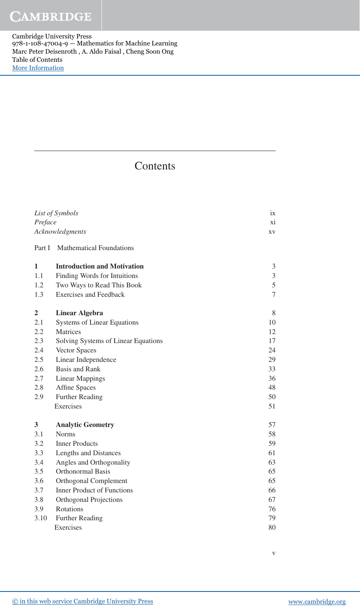Cambridge University Press 978-1-108-47004-9 — Mathematics for Machine Learning Marc Peter Deisenroth , A. Aldo Faisal , Cheng Soon Ong Table of Contents [More Information](www.cambridge.org/9781108470049)

## **Contents**

| Preface        | List of Symbols<br>Acknowledgments  | ix<br>xi<br>XV |
|----------------|-------------------------------------|----------------|
| Part I         | <b>Mathematical Foundations</b>     |                |
| 1              | <b>Introduction and Motivation</b>  | 3              |
| 1.1            | Finding Words for Intuitions        | $\mathfrak{Z}$ |
| 1.2            | Two Ways to Read This Book          | 5              |
| 1.3            | <b>Exercises and Feedback</b>       | $\overline{7}$ |
| $\overline{2}$ | <b>Linear Algebra</b>               | 8              |
| 2.1            | <b>Systems of Linear Equations</b>  | 10             |
| 2.2            | Matrices                            | 12             |
| 2.3            | Solving Systems of Linear Equations | 17             |
| 2.4            | Vector Spaces                       | 24             |
| 2.5            | Linear Independence                 | 29             |
| 2.6            | <b>Basis and Rank</b>               | 33             |
| 2.7            | <b>Linear Mappings</b>              | 36             |
| 2.8            | <b>Affine Spaces</b>                | 48             |
| 2.9            | <b>Further Reading</b>              | 50             |
|                | Exercises                           | 51             |
| 3              | <b>Analytic Geometry</b>            | 57             |
| 3.1            | <b>Norms</b>                        | 58             |
| 3.2            | <b>Inner Products</b>               | 59             |
| 3.3            | Lengths and Distances               | 61             |
| 3.4            | Angles and Orthogonality            | 63             |
| 3.5            | Orthonormal Basis                   | 65             |
| 3.6            | Orthogonal Complement               | 65             |
| 3.7            | <b>Inner Product of Functions</b>   | 66             |
| 3.8            | Orthogonal Projections              | 67             |
| 3.9            | Rotations                           | 76             |
| 3.10           | <b>Further Reading</b>              | 79             |
|                | Exercises                           | 80             |

v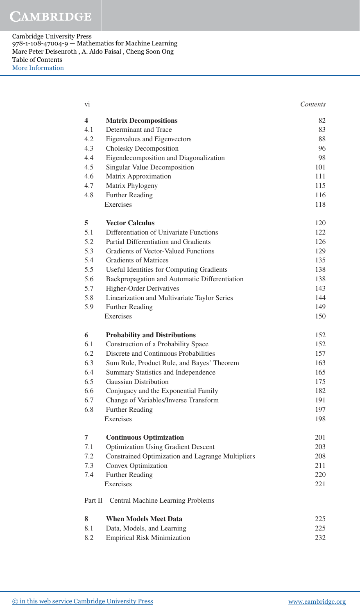## **CAMBRIDGE**

Cambridge University Press 978-1-108-47004-9 — Mathematics for Machine Learning Marc Peter Deisenroth , A. Aldo Faisal , Cheng Soon Ong Table of Contents [More Information](www.cambridge.org/9781108470049)

| $\overline{\mathbf{4}}$<br>82<br><b>Matrix Decompositions</b><br>4.1<br>Determinant and Trace<br>83<br>4.2<br>88<br>Eigenvalues and Eigenvectors<br>4.3<br>Cholesky Decomposition<br>96<br>4.4<br>Eigendecomposition and Diagonalization<br>98<br>4.5<br>Singular Value Decomposition<br>101<br>4.6<br>Matrix Approximation<br>111<br>4.7<br>Matrix Phylogeny<br>115<br>4.8<br><b>Further Reading</b><br>116<br>Exercises<br>118<br>5<br><b>Vector Calculus</b><br>120<br>5.1<br>Differentiation of Univariate Functions<br>122<br>5.2<br>Partial Differentiation and Gradients<br>126<br>5.3<br>Gradients of Vector-Valued Functions<br>129<br>5.4<br><b>Gradients of Matrices</b><br>135<br>5.5<br><b>Useful Identities for Computing Gradients</b><br>138<br>5.6<br>Backpropagation and Automatic Differentiation<br>138<br>5.7<br><b>Higher-Order Derivatives</b><br>143<br>5.8<br>Linearization and Multivariate Taylor Series<br>144<br>5.9<br><b>Further Reading</b><br>149<br>Exercises<br>150<br>6<br><b>Probability and Distributions</b><br>152<br>6.1<br>Construction of a Probability Space<br>152<br>6.2<br>Discrete and Continuous Probabilities<br>157<br>6.3<br>Sum Rule, Product Rule, and Bayes' Theorem<br>163<br>6.4<br>Summary Statistics and Independence<br>165<br>6.5<br><b>Gaussian Distribution</b><br>175<br>6.6<br>Conjugacy and the Exponential Family<br>182<br>6.7<br>Change of Variables/Inverse Transform<br>191<br><b>Further Reading</b><br>197<br>6.8<br>198<br>Exercises<br><b>Continuous Optimization</b><br>7<br>201<br><b>Optimization Using Gradient Descent</b><br>7.1<br>203<br>Constrained Optimization and Lagrange Multipliers<br>7.2<br>208<br>7.3<br>Convex Optimization<br>211<br>7.4<br><b>Further Reading</b><br>220<br>Exercises<br>221<br>Part II<br>Central Machine Learning Problems<br>8<br><b>When Models Meet Data</b><br>225<br>8.1<br>Data, Models, and Learning<br>225<br>8.2<br><b>Empirical Risk Minimization</b><br>232 | vi | Contents |
|------------------------------------------------------------------------------------------------------------------------------------------------------------------------------------------------------------------------------------------------------------------------------------------------------------------------------------------------------------------------------------------------------------------------------------------------------------------------------------------------------------------------------------------------------------------------------------------------------------------------------------------------------------------------------------------------------------------------------------------------------------------------------------------------------------------------------------------------------------------------------------------------------------------------------------------------------------------------------------------------------------------------------------------------------------------------------------------------------------------------------------------------------------------------------------------------------------------------------------------------------------------------------------------------------------------------------------------------------------------------------------------------------------------------------------------------------------------------------------------------------------------------------------------------------------------------------------------------------------------------------------------------------------------------------------------------------------------------------------------------------------------------------------------------------------------------------------------------------------------------------------------------------------------------------------------------------------------------------------------|----|----------|
|                                                                                                                                                                                                                                                                                                                                                                                                                                                                                                                                                                                                                                                                                                                                                                                                                                                                                                                                                                                                                                                                                                                                                                                                                                                                                                                                                                                                                                                                                                                                                                                                                                                                                                                                                                                                                                                                                                                                                                                          |    |          |
|                                                                                                                                                                                                                                                                                                                                                                                                                                                                                                                                                                                                                                                                                                                                                                                                                                                                                                                                                                                                                                                                                                                                                                                                                                                                                                                                                                                                                                                                                                                                                                                                                                                                                                                                                                                                                                                                                                                                                                                          |    |          |
|                                                                                                                                                                                                                                                                                                                                                                                                                                                                                                                                                                                                                                                                                                                                                                                                                                                                                                                                                                                                                                                                                                                                                                                                                                                                                                                                                                                                                                                                                                                                                                                                                                                                                                                                                                                                                                                                                                                                                                                          |    |          |
|                                                                                                                                                                                                                                                                                                                                                                                                                                                                                                                                                                                                                                                                                                                                                                                                                                                                                                                                                                                                                                                                                                                                                                                                                                                                                                                                                                                                                                                                                                                                                                                                                                                                                                                                                                                                                                                                                                                                                                                          |    |          |
|                                                                                                                                                                                                                                                                                                                                                                                                                                                                                                                                                                                                                                                                                                                                                                                                                                                                                                                                                                                                                                                                                                                                                                                                                                                                                                                                                                                                                                                                                                                                                                                                                                                                                                                                                                                                                                                                                                                                                                                          |    |          |
|                                                                                                                                                                                                                                                                                                                                                                                                                                                                                                                                                                                                                                                                                                                                                                                                                                                                                                                                                                                                                                                                                                                                                                                                                                                                                                                                                                                                                                                                                                                                                                                                                                                                                                                                                                                                                                                                                                                                                                                          |    |          |
|                                                                                                                                                                                                                                                                                                                                                                                                                                                                                                                                                                                                                                                                                                                                                                                                                                                                                                                                                                                                                                                                                                                                                                                                                                                                                                                                                                                                                                                                                                                                                                                                                                                                                                                                                                                                                                                                                                                                                                                          |    |          |
|                                                                                                                                                                                                                                                                                                                                                                                                                                                                                                                                                                                                                                                                                                                                                                                                                                                                                                                                                                                                                                                                                                                                                                                                                                                                                                                                                                                                                                                                                                                                                                                                                                                                                                                                                                                                                                                                                                                                                                                          |    |          |
|                                                                                                                                                                                                                                                                                                                                                                                                                                                                                                                                                                                                                                                                                                                                                                                                                                                                                                                                                                                                                                                                                                                                                                                                                                                                                                                                                                                                                                                                                                                                                                                                                                                                                                                                                                                                                                                                                                                                                                                          |    |          |
|                                                                                                                                                                                                                                                                                                                                                                                                                                                                                                                                                                                                                                                                                                                                                                                                                                                                                                                                                                                                                                                                                                                                                                                                                                                                                                                                                                                                                                                                                                                                                                                                                                                                                                                                                                                                                                                                                                                                                                                          |    |          |
|                                                                                                                                                                                                                                                                                                                                                                                                                                                                                                                                                                                                                                                                                                                                                                                                                                                                                                                                                                                                                                                                                                                                                                                                                                                                                                                                                                                                                                                                                                                                                                                                                                                                                                                                                                                                                                                                                                                                                                                          |    |          |
|                                                                                                                                                                                                                                                                                                                                                                                                                                                                                                                                                                                                                                                                                                                                                                                                                                                                                                                                                                                                                                                                                                                                                                                                                                                                                                                                                                                                                                                                                                                                                                                                                                                                                                                                                                                                                                                                                                                                                                                          |    |          |
|                                                                                                                                                                                                                                                                                                                                                                                                                                                                                                                                                                                                                                                                                                                                                                                                                                                                                                                                                                                                                                                                                                                                                                                                                                                                                                                                                                                                                                                                                                                                                                                                                                                                                                                                                                                                                                                                                                                                                                                          |    |          |
|                                                                                                                                                                                                                                                                                                                                                                                                                                                                                                                                                                                                                                                                                                                                                                                                                                                                                                                                                                                                                                                                                                                                                                                                                                                                                                                                                                                                                                                                                                                                                                                                                                                                                                                                                                                                                                                                                                                                                                                          |    |          |
|                                                                                                                                                                                                                                                                                                                                                                                                                                                                                                                                                                                                                                                                                                                                                                                                                                                                                                                                                                                                                                                                                                                                                                                                                                                                                                                                                                                                                                                                                                                                                                                                                                                                                                                                                                                                                                                                                                                                                                                          |    |          |
|                                                                                                                                                                                                                                                                                                                                                                                                                                                                                                                                                                                                                                                                                                                                                                                                                                                                                                                                                                                                                                                                                                                                                                                                                                                                                                                                                                                                                                                                                                                                                                                                                                                                                                                                                                                                                                                                                                                                                                                          |    |          |
|                                                                                                                                                                                                                                                                                                                                                                                                                                                                                                                                                                                                                                                                                                                                                                                                                                                                                                                                                                                                                                                                                                                                                                                                                                                                                                                                                                                                                                                                                                                                                                                                                                                                                                                                                                                                                                                                                                                                                                                          |    |          |
|                                                                                                                                                                                                                                                                                                                                                                                                                                                                                                                                                                                                                                                                                                                                                                                                                                                                                                                                                                                                                                                                                                                                                                                                                                                                                                                                                                                                                                                                                                                                                                                                                                                                                                                                                                                                                                                                                                                                                                                          |    |          |
|                                                                                                                                                                                                                                                                                                                                                                                                                                                                                                                                                                                                                                                                                                                                                                                                                                                                                                                                                                                                                                                                                                                                                                                                                                                                                                                                                                                                                                                                                                                                                                                                                                                                                                                                                                                                                                                                                                                                                                                          |    |          |
|                                                                                                                                                                                                                                                                                                                                                                                                                                                                                                                                                                                                                                                                                                                                                                                                                                                                                                                                                                                                                                                                                                                                                                                                                                                                                                                                                                                                                                                                                                                                                                                                                                                                                                                                                                                                                                                                                                                                                                                          |    |          |
|                                                                                                                                                                                                                                                                                                                                                                                                                                                                                                                                                                                                                                                                                                                                                                                                                                                                                                                                                                                                                                                                                                                                                                                                                                                                                                                                                                                                                                                                                                                                                                                                                                                                                                                                                                                                                                                                                                                                                                                          |    |          |
|                                                                                                                                                                                                                                                                                                                                                                                                                                                                                                                                                                                                                                                                                                                                                                                                                                                                                                                                                                                                                                                                                                                                                                                                                                                                                                                                                                                                                                                                                                                                                                                                                                                                                                                                                                                                                                                                                                                                                                                          |    |          |
|                                                                                                                                                                                                                                                                                                                                                                                                                                                                                                                                                                                                                                                                                                                                                                                                                                                                                                                                                                                                                                                                                                                                                                                                                                                                                                                                                                                                                                                                                                                                                                                                                                                                                                                                                                                                                                                                                                                                                                                          |    |          |
|                                                                                                                                                                                                                                                                                                                                                                                                                                                                                                                                                                                                                                                                                                                                                                                                                                                                                                                                                                                                                                                                                                                                                                                                                                                                                                                                                                                                                                                                                                                                                                                                                                                                                                                                                                                                                                                                                                                                                                                          |    |          |
|                                                                                                                                                                                                                                                                                                                                                                                                                                                                                                                                                                                                                                                                                                                                                                                                                                                                                                                                                                                                                                                                                                                                                                                                                                                                                                                                                                                                                                                                                                                                                                                                                                                                                                                                                                                                                                                                                                                                                                                          |    |          |
|                                                                                                                                                                                                                                                                                                                                                                                                                                                                                                                                                                                                                                                                                                                                                                                                                                                                                                                                                                                                                                                                                                                                                                                                                                                                                                                                                                                                                                                                                                                                                                                                                                                                                                                                                                                                                                                                                                                                                                                          |    |          |
|                                                                                                                                                                                                                                                                                                                                                                                                                                                                                                                                                                                                                                                                                                                                                                                                                                                                                                                                                                                                                                                                                                                                                                                                                                                                                                                                                                                                                                                                                                                                                                                                                                                                                                                                                                                                                                                                                                                                                                                          |    |          |
|                                                                                                                                                                                                                                                                                                                                                                                                                                                                                                                                                                                                                                                                                                                                                                                                                                                                                                                                                                                                                                                                                                                                                                                                                                                                                                                                                                                                                                                                                                                                                                                                                                                                                                                                                                                                                                                                                                                                                                                          |    |          |
|                                                                                                                                                                                                                                                                                                                                                                                                                                                                                                                                                                                                                                                                                                                                                                                                                                                                                                                                                                                                                                                                                                                                                                                                                                                                                                                                                                                                                                                                                                                                                                                                                                                                                                                                                                                                                                                                                                                                                                                          |    |          |
|                                                                                                                                                                                                                                                                                                                                                                                                                                                                                                                                                                                                                                                                                                                                                                                                                                                                                                                                                                                                                                                                                                                                                                                                                                                                                                                                                                                                                                                                                                                                                                                                                                                                                                                                                                                                                                                                                                                                                                                          |    |          |
|                                                                                                                                                                                                                                                                                                                                                                                                                                                                                                                                                                                                                                                                                                                                                                                                                                                                                                                                                                                                                                                                                                                                                                                                                                                                                                                                                                                                                                                                                                                                                                                                                                                                                                                                                                                                                                                                                                                                                                                          |    |          |
|                                                                                                                                                                                                                                                                                                                                                                                                                                                                                                                                                                                                                                                                                                                                                                                                                                                                                                                                                                                                                                                                                                                                                                                                                                                                                                                                                                                                                                                                                                                                                                                                                                                                                                                                                                                                                                                                                                                                                                                          |    |          |
|                                                                                                                                                                                                                                                                                                                                                                                                                                                                                                                                                                                                                                                                                                                                                                                                                                                                                                                                                                                                                                                                                                                                                                                                                                                                                                                                                                                                                                                                                                                                                                                                                                                                                                                                                                                                                                                                                                                                                                                          |    |          |
|                                                                                                                                                                                                                                                                                                                                                                                                                                                                                                                                                                                                                                                                                                                                                                                                                                                                                                                                                                                                                                                                                                                                                                                                                                                                                                                                                                                                                                                                                                                                                                                                                                                                                                                                                                                                                                                                                                                                                                                          |    |          |
|                                                                                                                                                                                                                                                                                                                                                                                                                                                                                                                                                                                                                                                                                                                                                                                                                                                                                                                                                                                                                                                                                                                                                                                                                                                                                                                                                                                                                                                                                                                                                                                                                                                                                                                                                                                                                                                                                                                                                                                          |    |          |
|                                                                                                                                                                                                                                                                                                                                                                                                                                                                                                                                                                                                                                                                                                                                                                                                                                                                                                                                                                                                                                                                                                                                                                                                                                                                                                                                                                                                                                                                                                                                                                                                                                                                                                                                                                                                                                                                                                                                                                                          |    |          |
|                                                                                                                                                                                                                                                                                                                                                                                                                                                                                                                                                                                                                                                                                                                                                                                                                                                                                                                                                                                                                                                                                                                                                                                                                                                                                                                                                                                                                                                                                                                                                                                                                                                                                                                                                                                                                                                                                                                                                                                          |    |          |
|                                                                                                                                                                                                                                                                                                                                                                                                                                                                                                                                                                                                                                                                                                                                                                                                                                                                                                                                                                                                                                                                                                                                                                                                                                                                                                                                                                                                                                                                                                                                                                                                                                                                                                                                                                                                                                                                                                                                                                                          |    |          |
|                                                                                                                                                                                                                                                                                                                                                                                                                                                                                                                                                                                                                                                                                                                                                                                                                                                                                                                                                                                                                                                                                                                                                                                                                                                                                                                                                                                                                                                                                                                                                                                                                                                                                                                                                                                                                                                                                                                                                                                          |    |          |
|                                                                                                                                                                                                                                                                                                                                                                                                                                                                                                                                                                                                                                                                                                                                                                                                                                                                                                                                                                                                                                                                                                                                                                                                                                                                                                                                                                                                                                                                                                                                                                                                                                                                                                                                                                                                                                                                                                                                                                                          |    |          |
|                                                                                                                                                                                                                                                                                                                                                                                                                                                                                                                                                                                                                                                                                                                                                                                                                                                                                                                                                                                                                                                                                                                                                                                                                                                                                                                                                                                                                                                                                                                                                                                                                                                                                                                                                                                                                                                                                                                                                                                          |    |          |